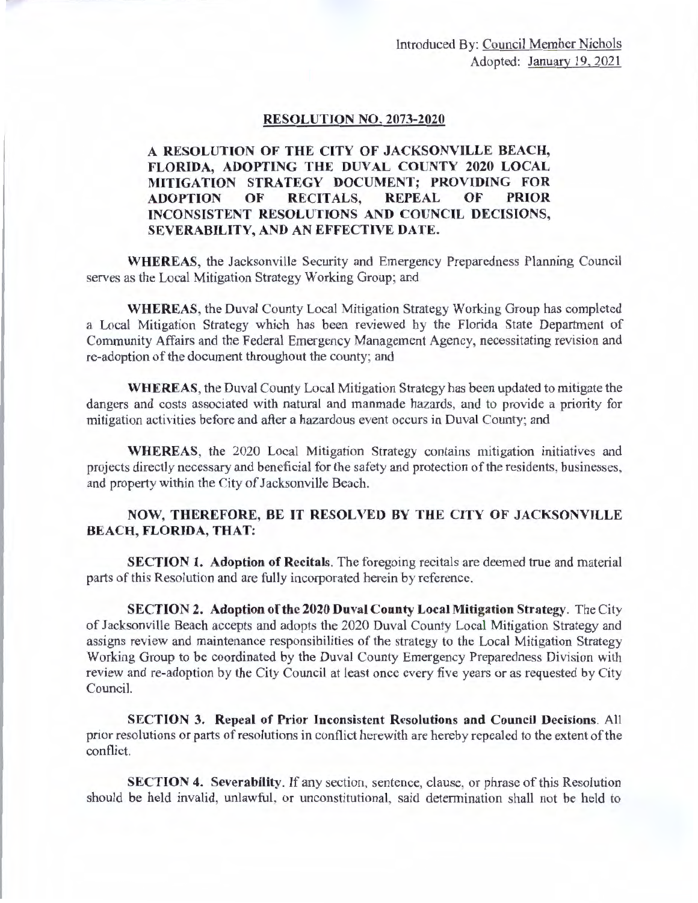## **RESOLUTION NO. 2073-2020**

## **A RESOLUTION OF THE CITY OF JACKSONVILLE BEACH,**  FLORIDA, ADOPTING THE DUVAL COUNTY 2020 LOCAL **MITIGATION STRATEGY DOCUMENT; PROVIDING FOR ADOPTION OF RECITALS, REPEAL OF PRIOR INCONSISTENT RESOLUTIONS AND COUNCIL DECISIONS, SEVERABILITY, AND AN EFFECTIVE DATE.**

**WHEREAS,** the Jacksonville Security and Emergency Preparedness Planning Council serves as the Local Mitigation Strategy Working Group; and

**WHEREAS,** the Duval County Local Mitigation Strategy Working Group has completed a Local Mitigation Strategy which has been reviewed by the Florida State Department of Community Affairs and the Federal Emergency Management Agency, necessitating revision and re-adoption of the document throughout the county; and

**WHEREAS,** the Duval County Local Mitigation Strategy has been updated to mitigate the dangers and costs associated with natural and manrnade hazards, and to provide a priority for mitigation activities before and after a hazardous event occurs in Duval County; and

**WHEREAS,** the 2020 Local Mitigation Strategy contains mitigation initiatives and projects directly necessary and beneficial for the safety and protection of the residents, businesses, and property within the City of Jacksonville Beach.

## **NOW, THEREFORE, BE IT RESOLVED BY THE CITY OF JACKSONVILLE BEACH, FLORIDA, THAT:**

**SECTION 1. Adoption of Recitals.** The foregoing recitals are deemed true and material parts of this Resolution and are fully incorporated herein by reference.

**SECTION 2. Adoption of the 2020 Duval County Local Mitigation Strategy.** The City of Jacksonville Beach accepts and adopts the 2020 Duval County Local Mitigation Strategy and assigns review and maintenance responsibilities of the strategy to the Local Mitigation Strategy Working Group to be coordinated by the Duval County Emergency Preparedness Division with review and re-adoption by the City Council at least once every five years or as requested by City Council.

**SECTION 3. Repeal of Prior Inconsistent Resolutions and Council Decisions.** All prior resolutions or parts of resolutions in conflict herewith are hereby repealed to the extent of the conflict.

**SECTION 4. Severability.** If any section, sentence, clause, or phrase of this Resolution should be held invalid, unlawful, or unconstitutional, said determination shall not be held to